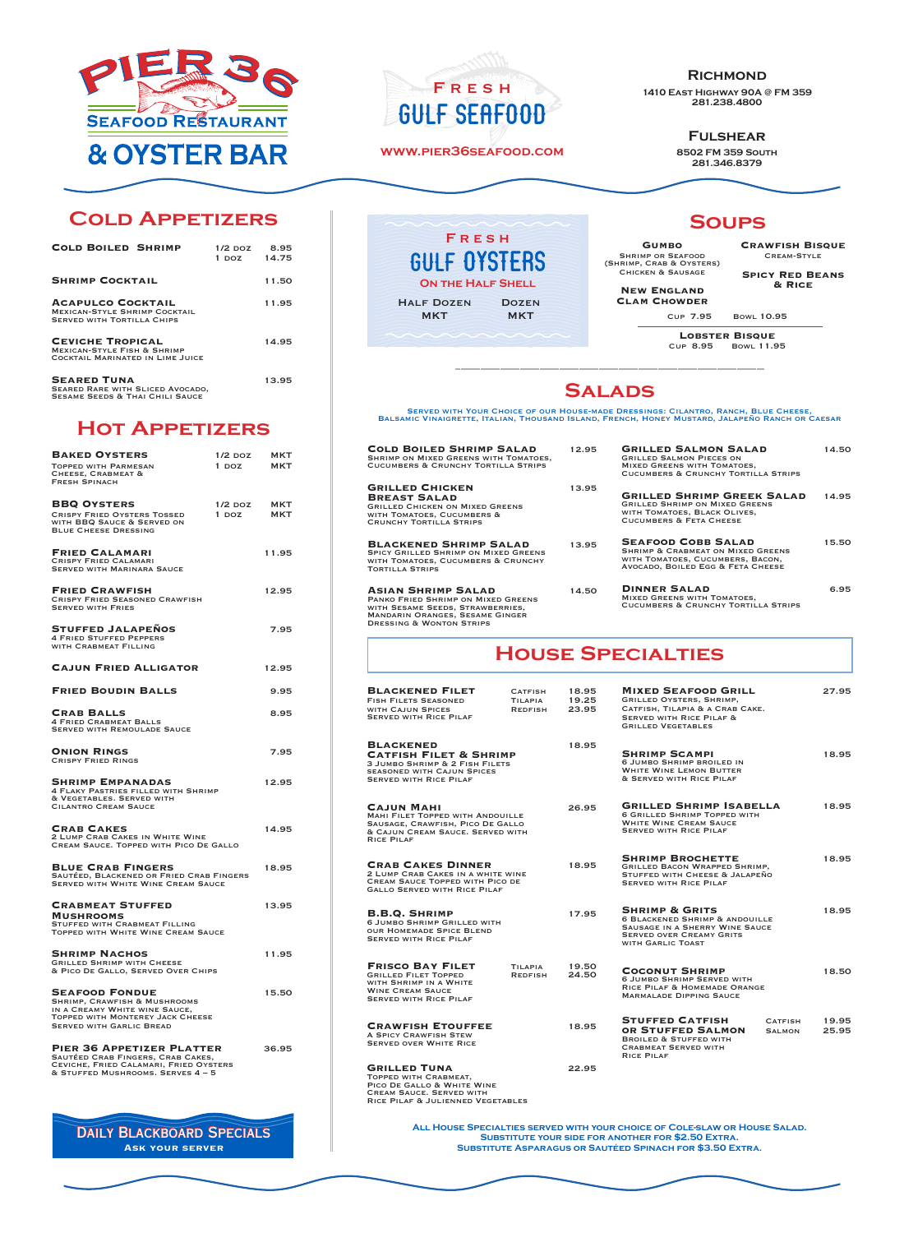

# **Cold Appetizers**

| <b>COLD BOILED SHRIMP</b>                                                                                   | $1/2$ DOZ<br>1 DOZ | 8.95<br>14.75 |
|-------------------------------------------------------------------------------------------------------------|--------------------|---------------|
| <b>SHRIMP COCKTAIL</b>                                                                                      |                    | 11.50         |
| <b>ACAPULCO COCKTAIL</b><br><b>MEXICAN-STYLE SHRIMP COCKTAIL</b><br><b>SERVED WITH TORTILLA CHIPS</b>       |                    | 11.95         |
| <b>CEVICHE TROPICAL</b><br><b>MEXICAN-STYLE FISH &amp; SHRIMP</b><br>COCKTAIL MARINATED IN LIME JUICE       |                    | 14.95         |
| <b>SEARED TUNA</b><br><b>SEARED RARE WITH SLICED AVOCADO.</b><br><b>SESAME SEEDS &amp; THAI CHILI SAUCE</b> |                    | 13.95         |

### **Hot Appetizers**

| <b>BAKED OYSTERS</b><br><b>TOPPED WITH PARMESAN</b><br><b>CHEESE, CRABMEAT &amp;</b><br><b>FRESH SPINACH</b>                                                                    | $1/2$ DOZ<br>$1$ DOZ | MKT<br><b>MKT</b> |
|---------------------------------------------------------------------------------------------------------------------------------------------------------------------------------|----------------------|-------------------|
| <b>BBQ OYSTERS</b><br><b>CRISPY FRIED OYSTERS TOSSED</b><br>WITH BBQ SAUCE & SERVED ON<br><b>BLUE CHEESE DRESSING</b>                                                           | $1/2$ DOZ<br>$1$ DOZ | MKT<br>MKT        |
| <b>FRIED CALAMARI</b><br><b>CRISPY FRIED CALAMARI</b><br><b>SERVED WITH MARINARA SAUCE</b>                                                                                      |                      | 11.95             |
| <b>FRIED CRAWFISH</b><br><b>CRISPY FRIED SEASONED CRAWFISH</b><br><b>SERVED WITH FRIES</b>                                                                                      |                      | 12.95             |
| <b>STUFFED JALAPENOS</b><br><b>4 FRIED STUFFED PEPPERS</b><br>WITH CRABMEAT FILLING                                                                                             |                      | 7.95              |
| <b>CAJUN FRIED ALLIGATOR</b>                                                                                                                                                    |                      | 12.95             |
| <b>FRIED BOUDIN BALLS</b>                                                                                                                                                       |                      | 9.95              |
| <b>CRAB BALLS</b><br><b>4 FRIED CRABMEAT BALLS</b><br><b>SERVED WITH REMOULADE SAUCE</b>                                                                                        |                      | 8.95              |
| <b>ONION RINGS</b><br><b>CRISPY FRIED RINGS</b>                                                                                                                                 |                      | 7.95              |
| <b>SHRIMP EMPANADAS</b><br>4 FLAKY PASTRIES FILLED WITH SHRIMP<br>& VEGETABLES. SERVED WITH<br><b>CILANTRO CREAM SAUCE</b>                                                      |                      | 12.95             |
| <b>CRAB CAKES</b><br>2 LUMP CRAB CAKES IN WHITE WINE<br>CREAM SAUCE. TOPPED WITH PICO DE GALLO                                                                                  |                      | 14.95             |
| <b>BLUE CRAB FINGERS</b><br>SAUTÉED, BLACKENED OR FRIED CRAB FINGERS<br><b>SERVED WITH WHITE WINE CREAM SAUCE</b>                                                               |                      | 18.95             |
| <b>CRABMEAT STUFFED</b><br><b>MUSHROOMS</b><br><b>STUFFED WITH CRABMEAT FILLING</b><br>TOPPED WITH WHITE WINE CREAM SAUCE                                                       |                      | 13.95             |
| <b>SHRIMP NACHOS</b><br><b>GRILLED SHRIMP WITH CHEESE</b><br>& PICO DE GALLO, SERVED OVER CHIPS                                                                                 |                      | 11.95             |
| <b>SEAFOOD FONDUE</b><br><b>SHRIMP, CRAWFISH &amp; MUSHROOMS</b><br>IN A CREAMY WHITE WINE SAUCE,<br><b>TOPPED WITH MONTEREY JACK CHEESE</b><br><b>SERVED WITH GARLIC BREAD</b> |                      | 15.50             |
| PIER 36 APPETIZER PLATTER<br>SAUTÉED CRAB FINGERS, CRAB CAKES,<br>CEVICHE, FRIED CALAMARI, FRIED OYSTERS<br>& STUFFED MUSHROOMS. SERVES 4 - 5                                   |                      | 36.95             |
|                                                                                                                                                                                 |                      |                   |

DAILY BLACKBOARD SPECIALS **Ask your server**

Fresh Gulf Seafood

#### **www.pier36seafood.com**

Fresh Gulf OYSTERS **ON THE HALF SHELL** 

> **DOZEN MKT**

Half Dozen **MKT** 

**Richmond 1410 East Highway 90A @ FM 359** 

**281.238.4800**

**Fulshear**

**8502 FM 359 South 281.346.8379**

## **Soups**

**Gumbo** SHRIMP OR SEAFOOD<br>(SHRIMP, CRAB & OYSTERS)<br>CHICKEN & SAUSAGE

**New England**

**Crawfish Bisque** Cream-Style

**Spicy Red Beans & Rice**

Cup 7.95 Bowl 10.95 **Clam Chowder**

**LOBSTER BISQUE**<br>Cup 8.95 Bowl 11.95

## **Salads**

Served with Your Choice of our House-made Dressings: Cilantro, Ranch, Blue Cheese, Balsamic Vinaigrette, Italian, Thousand Island, French, Honey Mustard, Jalapeño Ranch or Caesar

| <b>COLD BOILED SHRIMP SALAD</b><br>SHRIMP ON MIXED GREENS WITH TOMATOES,<br><b>CUCUMBERS &amp; CRUNCHY TORTILLA STRIPS</b>                                                           |                                      | 12.95                   | <b>GRILLED SALMON SALAD</b><br><b>GRILLED SALMON PIECES ON</b><br><b>MIXED GREENS WITH TOMATOES,</b><br><b>CUCUMBERS &amp; CRUNCHY TORTILLA STRIPS</b>               | 14.50 |
|--------------------------------------------------------------------------------------------------------------------------------------------------------------------------------------|--------------------------------------|-------------------------|----------------------------------------------------------------------------------------------------------------------------------------------------------------------|-------|
| <b>GRILLED CHICKEN</b><br><b>BREAST SALAD</b><br><b>GRILLED CHICKEN ON MIXED GREENS</b><br>WITH TOMATOES, CUCUMBERS &<br><b>CRUNCHY TORTILLA STRIPS</b>                              |                                      | 13.95                   | <b>GRILLED SHRIMP GREEK SALAD</b><br><b>GRILLED SHRIMP ON MIXED GREENS</b><br>WITH TOMATOES, BLACK OLIVES,<br><b>CUCUMBERS &amp; FETA CHEESE</b>                     | 14.95 |
| <b>BLACKENED SHRIMP SALAD</b><br><b>SPICY GRILLED SHRIMP ON MIXED GREENS</b><br>WITH TOMATOES, CUCUMBERS & CRUNCHY<br><b>TORTILLA STRIPS</b>                                         |                                      | 13.95                   | <b>SEAFOOD COBB SALAD</b><br><b>SHRIMP &amp; CRABMEAT ON MIXED GREENS</b><br>WITH TOMATOES, CUCUMBERS, BACON,<br>AVOCADO, BOILED EGG & FETA CHEESE                   | 15.50 |
| <b>ASIAN SHRIMP SALAD</b><br>PANKO FRIED SHRIMP ON MIXED GREENS<br>WITH SESAME SEEDS, STRAWBERRIES,<br><b>MANDARIN ORANGES, SESAME GINGER</b><br><b>DRESSING &amp; WONTON STRIPS</b> |                                      | 14.50                   | <b>DINNER SALAD</b><br><b>MIXED GREENS WITH TOMATOES,</b><br><b>CUCUMBERS &amp; CRUNCHY TORTILLA STRIPS</b>                                                          | 6.95  |
|                                                                                                                                                                                      |                                      |                         | <b>HOUSE SPECIALTIES</b>                                                                                                                                             |       |
| <b>BLACKENED FILET</b><br><b>FISH FILETS SEASONED</b><br>WITH CAJUN SPICES<br><b>SERVED WITH RICE PILAF</b>                                                                          | <b>CATFISH</b><br>TILAPIA<br>REDFISH | 18.95<br>19.25<br>23.95 | <b>MIXED SEAFOOD GRILL</b><br><b>GRILLED OYSTERS, SHRIMP,</b><br>CATFISH, TILAPIA & A CRAB CAKE.<br><b>SERVED WITH RICE PILAF &amp;</b><br><b>GRILLED VEGETABLES</b> | 27.95 |
| <b>BLACKENED</b><br><b>CATFISH FILET &amp; SHRIMP</b><br>3 JUMBO SHRIMP & 2 FISH FILETS<br><b>SEASONED WITH CAJUN SPICES</b>                                                         |                                      | 18.95                   | <b>SHRIMP SCAMPI</b><br><b>6 JUMBO SHRIMP BROILED IN</b><br><b>WHITE WINE LEMON BUTTER</b>                                                                           | 18.95 |

& Served with Rice Pilaf

SERVED WITH RICE PILAF

Served with Rice Pilaf

with Garlic Toast

Marmalade Dipping Sauce

Crabmeat Served with

Rice Pilaf

Grilled Bacon Wrapped Shrimp, Stuffed with Cheese & Jalapeño

**Grilled Shrimp Isabella** 18.95 6 Grilled Shrimp Topped with White Wine Cream Sauce

**SHRIMP BROCHETTE** 18.95

**Shrimp & Grits** 18.95 6 Blackened Shrimp & andouille Sausage in a Sherry Wine Sauce Served over Creamy Grits

**COCONUT SHRIMP** 18.50<br>6 Jumbo Shrimp Served with<br>Rice Pilaf & Homemade Orange

**STUFFED CATFISH** CATFISH 19.95<br>**OR STUFFED SALMON** SALMON 25.95

**OR STUFFED SALMON** SALMON<br>BROILED & STUFFED WITH

Served with Rice Pilaf **Cajun Mahi** 26.95 Mahi Filet Topped with Andouille Sausage, Crawfish, Pico De Gallo & CAJUN CREAM SAUCE. SERVED WITH Rice Pilaf

**CRAB CAKES DINNER** 18.95<br>2 Lump Crab Cakes in a white wine 18.95<br>Cream Sauce Topped with Pico de GALLO SERVED WITH RICE PILAF

**B.B.Q. Shrimp** 17.95 6 Jumbo Shrimp Grilled with our Homemade Spice Blend Served with Rice Pilaf

**Frisco Bay Filet** Tilapia 19.50

Grilled Filet Topped Redfish 24.50 with Shrimp in a White Wine Cream Sauce SERVED WITH RICE PILAF **CRAWFISH ETOUFFEE** 18.95

A SPICY CRAWFISH STEW<br>SERVED OVER WHITE RICE

**Grilled Tuna** 22.95 Topped with Crabmeat, Pico De Gallo & White Wine Cream Sauce. Served with Rice Pilaf & Julienned Vegetables

> **All House Specialties served with your choice of Cole-slaw or House Salad. Substitute your side for another for \$2.50 Extra. Substitute Asparagus or Sautéed Spinach for \$3.50 Extra.**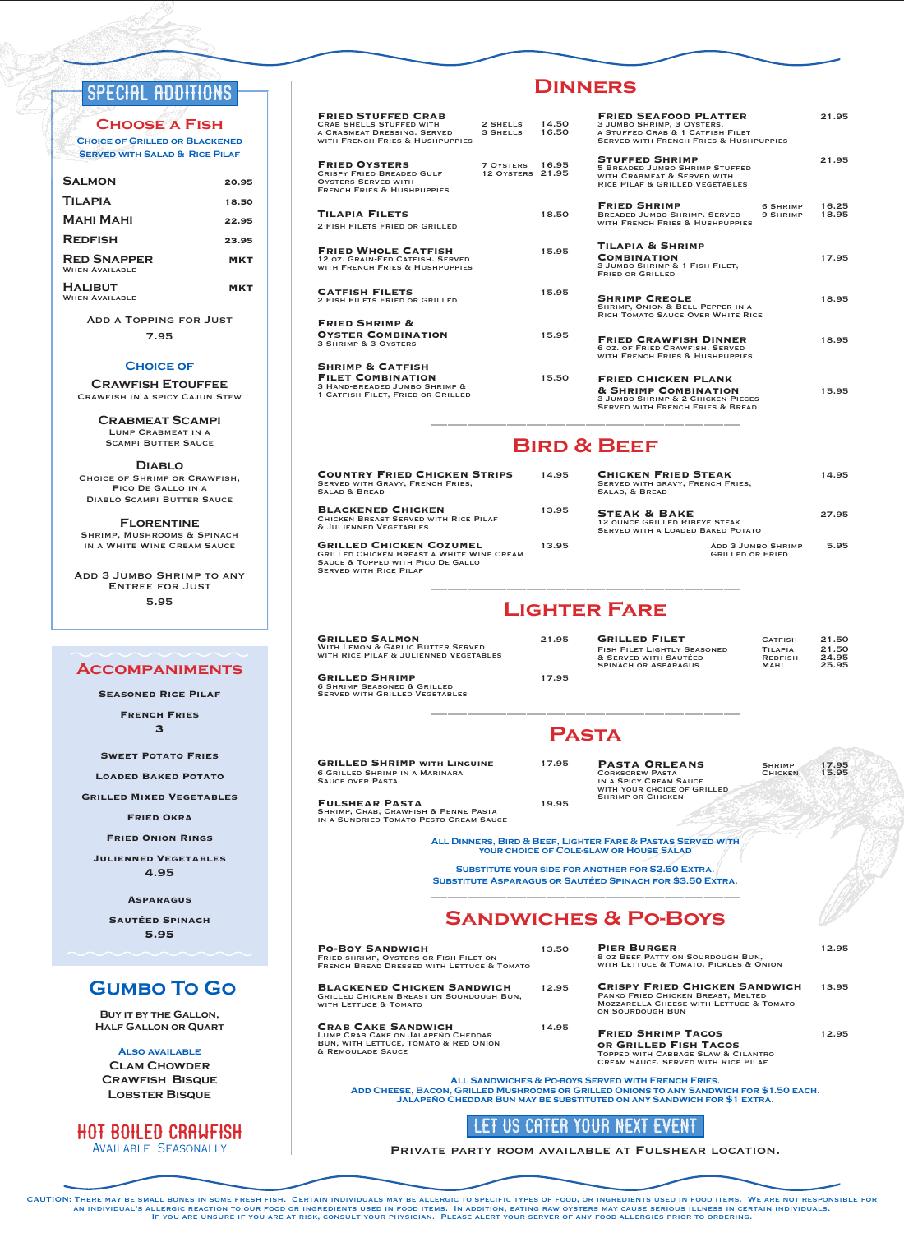## SPECIAL ADDITIONS

**Choose a Fish Choice of Grilled or Blackened Served with Salad & Rice Pilaf**

| <b>SALMON</b>                               | 20.95      |
|---------------------------------------------|------------|
| <b>TILAPIA</b>                              | 18.50      |
| МАНІ МАНІ                                   | 22.95      |
| <b>REDFISH</b>                              | 23.95      |
| <b>RED SNAPPER</b><br><b>WHEN AVAILABLE</b> | <b>MKT</b> |
| <b>HALIBUT</b><br><b>WHEN AVAILARLE</b>     | <b>MKT</b> |

Add a Topping for Just 7.95

#### **Choice of**

**Crawfish Etouffee** Crawfish in a spicy Cajun Stew

> **Crabmeat Scampi** Lump Crabmeat in a **SCAMPI BUTTER SAUCE**

**Diablo** Choice of Shrimp or Crawfish, Pico De Gallo in a Diablo Scampi Butter Sauce

**Florentine** Shrimp, Mushrooms & Spinach in a White Wine Cream Sauce

Add 3 Jumbo Shrimp to any Entree for Just 5.95

#### **Accompaniments**

**Seasoned Rice Pilaf**

**French Fries 3**

**Sweet Potato Fries**

**Loaded Baked Potato**

**Grilled Mixed Vegetables**

**Fried Okra**

**Fried Onion Rings**

**Julienned Vegetables 4.95**

**Asparagus** 

**Sautéed Spinach 5.95**

## **Gumbo To Go**

**Buy it by the Gallon, Half Gallon or Quart**

**Also available Clam Chowder Crawfish Bisque Lobster Bisque**

#### Hot Boiled Crawfish Available Seasonally

| <b>FRIED STUFFED CRAB</b><br>CRAB SHELLS STUFFED WITH<br>A CRABMEAT DRESSING. SERVED 3 SHELLS 16.50<br>WITH FRENCH FRIES & HUSHPUPPIES | 2 SHELLS 14.50                      |       |  |
|----------------------------------------------------------------------------------------------------------------------------------------|-------------------------------------|-------|--|
| <b>FRIED OYSTERS</b><br>CRISPY FRIED BREADED GULF<br><b>OYSTERS SERVED WITH</b><br><b>FRENCH FRIES &amp; HUSHPUPPIES</b>               | 7 OYSTERS 16.95<br>12 OYSTERS 21.95 |       |  |
| TILAPIA FILETS<br>2 FISH FILETS FRIED OR GRILLED                                                                                       |                                     | 18.50 |  |
| <b>FRIED WHOLE CATFISH</b><br>12 OZ. GRAIN-FED CATFISH, SERVED<br>WITH FRENCH FRIES & HUSHPUPPIES                                      |                                     | 15.95 |  |
| <b>CATFISH FILETS</b><br>2 FISH FILETS FRIED OR GRILLED                                                                                |                                     | 15.95 |  |
| <b>FRIED SHRIMP &amp;</b><br><b>OYSTER COMBINATION</b><br>3 SHRIMP & 3 OYSTERS                                                         |                                     | 15.95 |  |
| <b>SHRIMP &amp; CATFISH</b><br><b>FILET COMBINATION</b>                                                                                |                                     | 15.50 |  |

**FILET COMBINATION** 3 HAND-BREADED JUMBO SHRIMP & 1 Catfish Filet, Fried or Grilled

### **Dinners**

| <b>FRIED SEAFOOD PLATTER</b><br>3 JUMBO SHRIMP, 3 OYSTERS,<br>A STUFFED CRAB & 1 CATFISH FILET<br><b>SERVED WITH FRENCH FRIES &amp; HUSHPUPPIES</b> |                      | 21.95          |
|-----------------------------------------------------------------------------------------------------------------------------------------------------|----------------------|----------------|
| <b>STUFFED SHRIMP</b><br><b>5 BREADED JUMBO SHRIMP STUFFED</b><br>WITH CRABMEAT & SERVED WITH<br>RICE PILAF & GRILLED VEGETABLES                    |                      | 21.95          |
| <b>FRIED SHRIMP</b><br><b>BREADED JUMBO SHRIMP, SERVED</b><br>WITH FRENCH FRIES & HUSHPUPPIES                                                       | 6 SHRIMP<br>9 SHRIMP | 16.25<br>18.95 |
| <b>TILAPIA &amp; SHRIMP</b><br><b>COMBINATION</b><br>3 JUMBO SHRIMP & 1 FISH FILET.<br><b>FRIED OR GRILLED</b>                                      |                      | 17.95          |
| <b>SHRIMP CREOLE</b><br>SHRIMP, ONION & BELL PEPPER IN A<br>RICH TOMATO SAUCE OVER WHITE RICE                                                       |                      | 18.95          |
| <b>FRIED CRAWFISH DINNER</b><br>6 OZ. OF FRIED CRAWFISH, SERVED<br>WITH FRENCH FRIES & HUSHPUPPIES                                                  |                      | 18.95          |
| <b>FRIED CHICKEN PLANK</b><br><b>&amp; SHRIMP COMBINATION</b><br>3 JUMBO SHRIMP & 2 CHICKEN PIECES<br><b>SERVED WITH FRENCH FRIES &amp; BREAD</b>   |                      | 15.95          |
|                                                                                                                                                     |                      |                |

### **Bird & Beef**

| <b>COUNTRY FRIED CHICKEN STRIPS</b><br><b>SERVED WITH GRAVY, FRENCH FRIES,</b><br>SALAD & BREAD                                                          | 14.95 | <b>CHICKEN FRIED STEAK</b><br>SERVED WITH GRAVY, FRENCH FRIES,<br>SALAD, & BREAD                            | 14.95 |
|----------------------------------------------------------------------------------------------------------------------------------------------------------|-------|-------------------------------------------------------------------------------------------------------------|-------|
| <b>BLACKENED CHICKEN</b><br>CHICKEN BREAST SERVED WITH RICE PILAF<br><b>&amp; JULIENNED VEGETABLES</b>                                                   | 13.95 | <b>STEAK &amp; BAKE</b><br><b>12 OUNCE GRILLED RIBEYE STEAK</b><br><b>SERVED WITH A LOADED BAKED POTATO</b> | 27.95 |
| <b>GRILLED CHICKEN COZUMEL</b><br><b>GRILLED CHICKEN BREAST A WHITE WINE CREAM</b><br>SAUCE & TOPPED WITH PICO DE GALLO<br><b>SERVED WITH RICE PILAE</b> | 13.95 | <b>ADD 3 JUMBO SHRIMP</b><br><b>GRILLED OR FRIED</b>                                                        | 5.95  |

## **Lighter Fare**

| <b>GRILLED SALMON</b><br><b>WITH LEMON &amp; GARLIC BUTTER SERVED</b><br>WITH RICE PILAF & JULIENNED VEGETABLES | 21.95 | <b>GRILLED FILET</b><br><b>FISH FILET LIGHTLY SEASONED</b><br>& SERVED WITH SAUTÉED<br><b>SPINACH OR ASPARAGUS</b> | <b>CATFISH</b><br>TILAPIA<br><b>REDFISH</b><br><b>MAHI</b> | 21.50<br>21.50<br>24.95<br>25.95 |
|-----------------------------------------------------------------------------------------------------------------|-------|--------------------------------------------------------------------------------------------------------------------|------------------------------------------------------------|----------------------------------|
| <b>GRILLED SHRIMP</b><br><b>6 SHRIMP SEASONED &amp; GRILLED</b>                                                 | 17.95 |                                                                                                                    |                                                            |                                  |

### **Pasta**

**GRILLED SHRIMP WITH LINGUINE 17.95 SAUCE OF SHRIMP IN A MARINARA**<br>SAUCE OVER PASTA

Served with Grilled Vegetables

**Fulshear Pasta** 19.95 Shrimp, Crab, Crawfish & Penne Pasta

with your choice of Grilled Shrimp or Chicken

**PASTA ORLEANS** SHRIMP 17.95<br>
CORKSCREW PASTA CHICKEN 15.95<br>
IN A SPICY CREAM SAUCE

in a Sundried Tomato Pesto Cream Sauce

**All Dinners, Bird & Beef, Lighter Fare & Pastas Served with your choice of Cole-slaw or House Salad** 

**Substitute your side for another for \$2.50 Extra. Substitute Asparagus or Sautéed Spinach for \$3.50 Extra.**

## **Sandwiches & Po-Boys**

| <b>PO-BOY SANDWICH</b><br>FRIED SHRIMP, OYSTERS OR FISH FILET ON<br>FRENCH BREAD DRESSED WITH LETTUCE & TOMATO                | 13.50 | <b>PIER BURGER</b><br>8 OZ BEEF PATTY ON SOURDOUGH BUN,<br>WITH LETTUCE & TOMATO, PICKLES & ONION                                                    | 12.95 |
|-------------------------------------------------------------------------------------------------------------------------------|-------|------------------------------------------------------------------------------------------------------------------------------------------------------|-------|
| <b>BLACKENED CHICKEN SANDWICH</b><br>GRILLED CHICKEN BREAST ON SOURDOUGH BUN,<br>WITH LETTUCE & TOMATO                        | 12.95 | <b>CRISPY FRIED CHICKEN SANDWICH</b><br>PANKO FRIED CHICKEN BREAST, MELTED<br><b>MOZZARELLA CHEESE WITH LETTUCE &amp; TOMATO</b><br>ON SOURDOUGH BUN | 13.95 |
| <b>CRAB CAKE SANDWICH</b><br>LUMP CRAB CAKE ON JALAPEÑO CHEDDAR<br>BUN, WITH LETTUCE, TOMATO & RED ONION<br>& REMOULADE SAUCE | 14.95 | <b>FRIED SHRIMP TACOS</b><br>OR GRILLED FISH TACOS<br>TOPPED WITH CARBAGE SI AW & CILANTRO                                                           | 12.95 |

Topped with Cabbage Slaw & Cilantro Cream Sauce. Served with Rice Pilaf **All Sandwiches & Po-boys Served with French Fries.** 

**Add Cheese, Bacon, Grilled Mushrooms or Grilled Onions to any Sandwich for \$1.50 each. Jalapeño Cheddar Bun may be substituted on any Sandwich for \$1 extra.**

## LET US CATER YOUR NEXT EVENT

Private party room available at Fulshear location.

CAUTION: There may be small bones in some fresh fish. Certain individuals may be allergic to specific types of food, or ingredients used in food items. We are not responsible for AN INDIVIDUAL'S ALLERGIC REACTION TO OUR FOOD OR INGREDIENTS USED IN FOOD ITEMS. IN ADDITION, EATING RAW OYSTERS MAY CAUSE SERIOUS ILLNESS IN CERTAIN INDIVIDUALS.<br>IF YOU ARE UNSURE IF YOU ARE AT RISK, CONSULT YOUR PHYSICIA